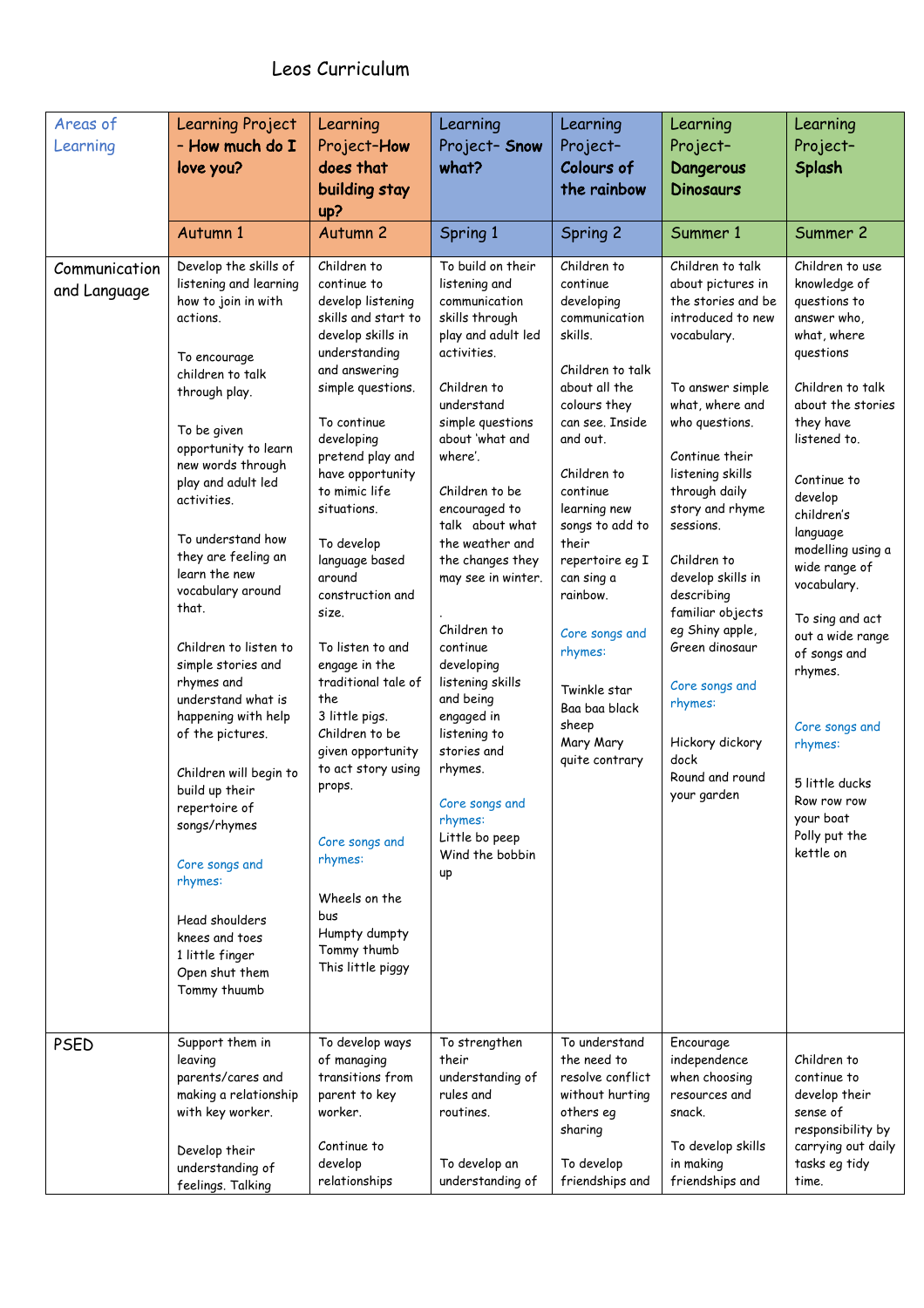| Areas of<br>Learning          | <b>Learning Project</b><br>- How much do I<br>love you?                                                                                                                                                                                                                                                                                                                                                      | Learning<br>Project-How<br>does that<br>building stay<br>up?                                                                                                                                                                                                                                                                                                                                                      | Learning<br>Project-Snow<br>what?                                                                                                                                                                                                                                                                                                                                                     | Learning<br>Project-<br>Colours of<br>the rainbow                                                                                                                                                                                                                                                                  | Learning<br>Project-<br>Dangerous<br><b>Dinosaurs</b>                                                                                                                                                                                                                                                                                                                  | Learning<br>Project-<br>Splash                                                                                                                                                                                                                                                                                                                          |
|-------------------------------|--------------------------------------------------------------------------------------------------------------------------------------------------------------------------------------------------------------------------------------------------------------------------------------------------------------------------------------------------------------------------------------------------------------|-------------------------------------------------------------------------------------------------------------------------------------------------------------------------------------------------------------------------------------------------------------------------------------------------------------------------------------------------------------------------------------------------------------------|---------------------------------------------------------------------------------------------------------------------------------------------------------------------------------------------------------------------------------------------------------------------------------------------------------------------------------------------------------------------------------------|--------------------------------------------------------------------------------------------------------------------------------------------------------------------------------------------------------------------------------------------------------------------------------------------------------------------|------------------------------------------------------------------------------------------------------------------------------------------------------------------------------------------------------------------------------------------------------------------------------------------------------------------------------------------------------------------------|---------------------------------------------------------------------------------------------------------------------------------------------------------------------------------------------------------------------------------------------------------------------------------------------------------------------------------------------------------|
| Communication<br>and Language | Autumn 1<br>Develop the skills of<br>listening and learning<br>how to join in with<br>actions.<br>To encourage<br>children to talk<br>through play.<br>To be given<br>opportunity to learn<br>new words through<br>play and adult led<br>activities.<br>To understand how<br>they are feeling an<br>learn the new<br>vocabulary around<br>that.<br>Children to listen to<br>simple stories and<br>rhymes and | Autumn <sub>2</sub><br>Children to<br>continue to<br>develop listening<br>skills and start to<br>develop skills in<br>understanding<br>and answering<br>simple questions.<br>To continue<br>developing<br>pretend play and<br>have opportunity<br>to mimic life<br>situations.<br>To develop<br>language based<br>around<br>construction and<br>size.<br>To listen to and<br>engage in the<br>traditional tale of | Spring 1<br>To build on their<br>listening and<br>communication<br>skills through<br>play and adult led<br>activities.<br>Children to<br>understand<br>simple questions<br>about 'what and<br>where'.<br>Children to be<br>encouraged to<br>talk about what<br>the weather and<br>the changes they<br>may see in winter.<br>Children to<br>continue<br>developing<br>listening skills | Spring 2<br>Children to<br>continue<br>developing<br>communication<br>skills.<br>Children to talk<br>about all the<br>colours they<br>can see. Inside<br>and out.<br>Children to<br>continue<br>learning new<br>songs to add to<br>their<br>repertoire eg I<br>can sing a<br>rainbow.<br>Core songs and<br>rhymes: | Summer 1<br>Children to talk<br>about pictures in<br>the stories and be<br>introduced to new<br>vocabulary.<br>To answer simple<br>what, where and<br>who questions.<br>Continue their<br>listening skills<br>through daily<br>story and rhyme<br>sessions.<br>Children to<br>develop skills in<br>describing<br>familiar objects<br>eg Shiny apple,<br>Green dinosaur | Summer 2<br>Children to use<br>knowledge of<br>questions to<br>answer who,<br>what, where<br>questions<br>Children to talk<br>about the stories<br>they have<br>listened to.<br>Continue to<br>develop<br>children's<br>language<br>modelling using a<br>wide range of<br>vocabulary.<br>To sing and act<br>out a wide range<br>of songs and<br>rhymes. |
|                               | understand what is<br>happening with help<br>of the pictures.<br>Children will begin to<br>build up their<br>repertoire of<br>songs/rhymes<br>Core songs and<br>rhymes:<br>Head shoulders<br>knees and toes<br>1 little finger<br>Open shut them<br>Tommy thuumb                                                                                                                                             | the<br>3 little pigs.<br>Children to be<br>given opportunity<br>to act story using<br>props.<br>Core songs and<br>rhymes:<br>Wheels on the<br>bus<br>Humpty dumpty<br>Tommy thumb<br>This little piggy                                                                                                                                                                                                            | and being<br>engaged in<br>listening to<br>stories and<br>rhymes.<br>Core songs and<br>rhymes:<br>Little bo peep<br>Wind the bobbin<br>up                                                                                                                                                                                                                                             | Twinkle star<br>Baa baa black<br>sheep<br>Mary Mary<br>quite contrary                                                                                                                                                                                                                                              | Core songs and<br>rhymes:<br>Hickory dickory<br>dock<br>Round and round<br>your garden                                                                                                                                                                                                                                                                                 | Core songs and<br>rhymes:<br>5 little ducks<br>Row row row<br>your boat<br>Polly put the<br>kettle on                                                                                                                                                                                                                                                   |
| <b>PSED</b>                   | Support them in<br>leaving<br>parents/cares and<br>making a relationship<br>with key worker.<br>Develop their<br>understanding of<br>feelings. Talking                                                                                                                                                                                                                                                       | To develop ways<br>of managing<br>transitions from<br>parent to key<br>worker.<br>Continue to<br>develop<br>relationships                                                                                                                                                                                                                                                                                         | To strengthen<br>their<br>understanding of<br>rules and<br>routines.<br>To develop an<br>understanding of                                                                                                                                                                                                                                                                             | To understand<br>the need to<br>resolve conflict<br>without hurting<br>others eg<br>sharing<br>To develop<br>friendships and                                                                                                                                                                                       | Encourage<br>independence<br>when choosing<br>resources and<br>snack.<br>To develop skills<br>in making<br>friendships and                                                                                                                                                                                                                                             | Children to<br>continue to<br>develop their<br>sense of<br>responsibility by<br>carrying out daily<br>tasks eg tidy<br>time.                                                                                                                                                                                                                            |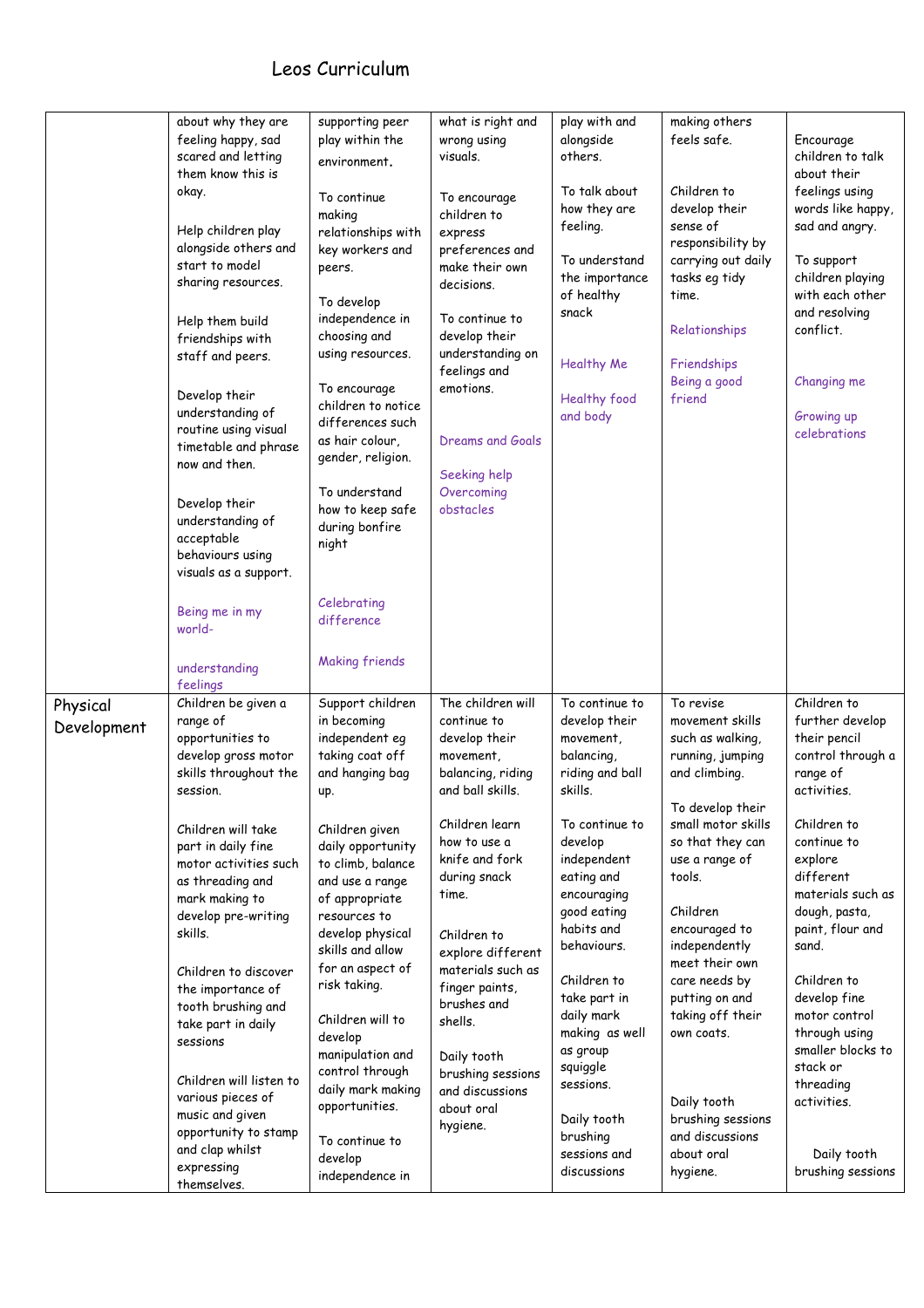|                         | about why they are<br>feeling happy, sad<br>scared and letting<br>them know this is<br>okay.<br>Help children play<br>alongside others and<br>start to model<br>sharing resources.<br>Help them build<br>friendships with<br>staff and peers.<br>Develop their<br>understanding of<br>routine using visual<br>timetable and phrase<br>now and then.<br>Develop their<br>understanding of<br>acceptable<br>behaviours using<br>visuals as a support.<br>Being me in my<br>world-<br>understanding                         | supporting peer<br>play within the<br>environment.<br>To continue<br>making<br>relationships with<br>key workers and<br>peers.<br>To develop<br>independence in<br>choosing and<br>using resources.<br>To encourage<br>children to notice<br>differences such<br>as hair colour,<br>gender, religion.<br>To understand<br>how to keep safe<br>during bonfire<br>night<br>Celebrating<br>difference<br><b>Making friends</b>                              | what is right and<br>wrong using<br>visuals.<br>To encourage<br>children to<br>express<br>preferences and<br>make their own<br>decisions.<br>To continue to<br>develop their<br>understanding on<br>feelings and<br>emotions.<br>Dreams and Goals<br>Seeking help<br>Overcoming<br>obstacles                                                                               | play with and<br>alongside<br>others.<br>To talk about<br>how they are<br>feeling.<br>To understand<br>the importance<br>of healthy<br>snack<br><b>Healthy Me</b><br>Healthy food<br>and body                                                                                                                                                                               | making others<br>feels safe.<br>Children to<br>develop their<br>sense of<br>responsibility by<br>carrying out daily<br>tasks eg tidy<br>time.<br>Relationships<br>Friendships<br>Being a good<br>friend                                                                                                                                                                                               | Encourage<br>children to talk<br>about their<br>feelings using<br>words like happy,<br>sad and angry.<br>To support<br>children playing<br>with each other<br>and resolving<br>conflict.<br>Changing me<br>Growing up<br>celebrations                                                                                                                                                     |
|-------------------------|--------------------------------------------------------------------------------------------------------------------------------------------------------------------------------------------------------------------------------------------------------------------------------------------------------------------------------------------------------------------------------------------------------------------------------------------------------------------------------------------------------------------------|----------------------------------------------------------------------------------------------------------------------------------------------------------------------------------------------------------------------------------------------------------------------------------------------------------------------------------------------------------------------------------------------------------------------------------------------------------|----------------------------------------------------------------------------------------------------------------------------------------------------------------------------------------------------------------------------------------------------------------------------------------------------------------------------------------------------------------------------|-----------------------------------------------------------------------------------------------------------------------------------------------------------------------------------------------------------------------------------------------------------------------------------------------------------------------------------------------------------------------------|-------------------------------------------------------------------------------------------------------------------------------------------------------------------------------------------------------------------------------------------------------------------------------------------------------------------------------------------------------------------------------------------------------|-------------------------------------------------------------------------------------------------------------------------------------------------------------------------------------------------------------------------------------------------------------------------------------------------------------------------------------------------------------------------------------------|
| Physical<br>Development | feelings<br>Children be given a<br>range of<br>opportunities to<br>develop gross motor<br>skills throughout the<br>session.<br>Children will take<br>part in daily fine<br>motor activities such<br>as threading and<br>mark making to<br>develop pre-writing<br>skills.<br>Children to discover<br>the importance of<br>tooth brushing and<br>take part in daily<br>sessions<br>Children will listen to<br>various pieces of<br>music and given<br>opportunity to stamp<br>and clap whilst<br>expressing<br>themselves. | Support children<br>in becoming<br>independent eg<br>taking coat off<br>and hanging bag<br>up.<br>Children given<br>daily opportunity<br>to climb, balance<br>and use a range<br>of appropriate<br>resources to<br>develop physical<br>skills and allow<br>for an aspect of<br>risk taking.<br>Children will to<br>develop<br>manipulation and<br>control through<br>daily mark making<br>opportunities.<br>To continue to<br>develop<br>independence in | The children will<br>continue to<br>develop their<br>movement,<br>balancing, riding<br>and ball skills.<br>Children learn<br>how to use a<br>knife and fork<br>during snack<br>time.<br>Children to<br>explore different<br>materials such as<br>finger paints,<br>brushes and<br>shells.<br>Daily tooth<br>brushing sessions<br>and discussions<br>about oral<br>hygiene. | To continue to<br>develop their<br>movement,<br>balancing,<br>riding and ball<br>skills.<br>To continue to<br>develop<br>independent<br>eating and<br>encouraging<br>good eating<br>habits and<br>behaviours.<br>Children to<br>take part in<br>daily mark<br>making as well<br>as group<br>squiggle<br>sessions.<br>Daily tooth<br>brushing<br>sessions and<br>discussions | To revise<br>movement skills<br>such as walking,<br>running, jumping<br>and climbing.<br>To develop their<br>small motor skills<br>so that they can<br>use a range of<br>tools.<br>Children<br>encouraged to<br>independently<br>meet their own<br>care needs by<br>putting on and<br>taking off their<br>own coats.<br>Daily tooth<br>brushing sessions<br>and discussions<br>about oral<br>hygiene. | Children to<br>further develop<br>their pencil<br>control through a<br>range of<br>activities.<br>Children to<br>continue to<br>explore<br>different<br>materials such as<br>dough, pasta,<br>paint, flour and<br>sand.<br>Children to<br>develop fine<br>motor control<br>through using<br>smaller blocks to<br>stack or<br>threading<br>activities.<br>Daily tooth<br>brushing sessions |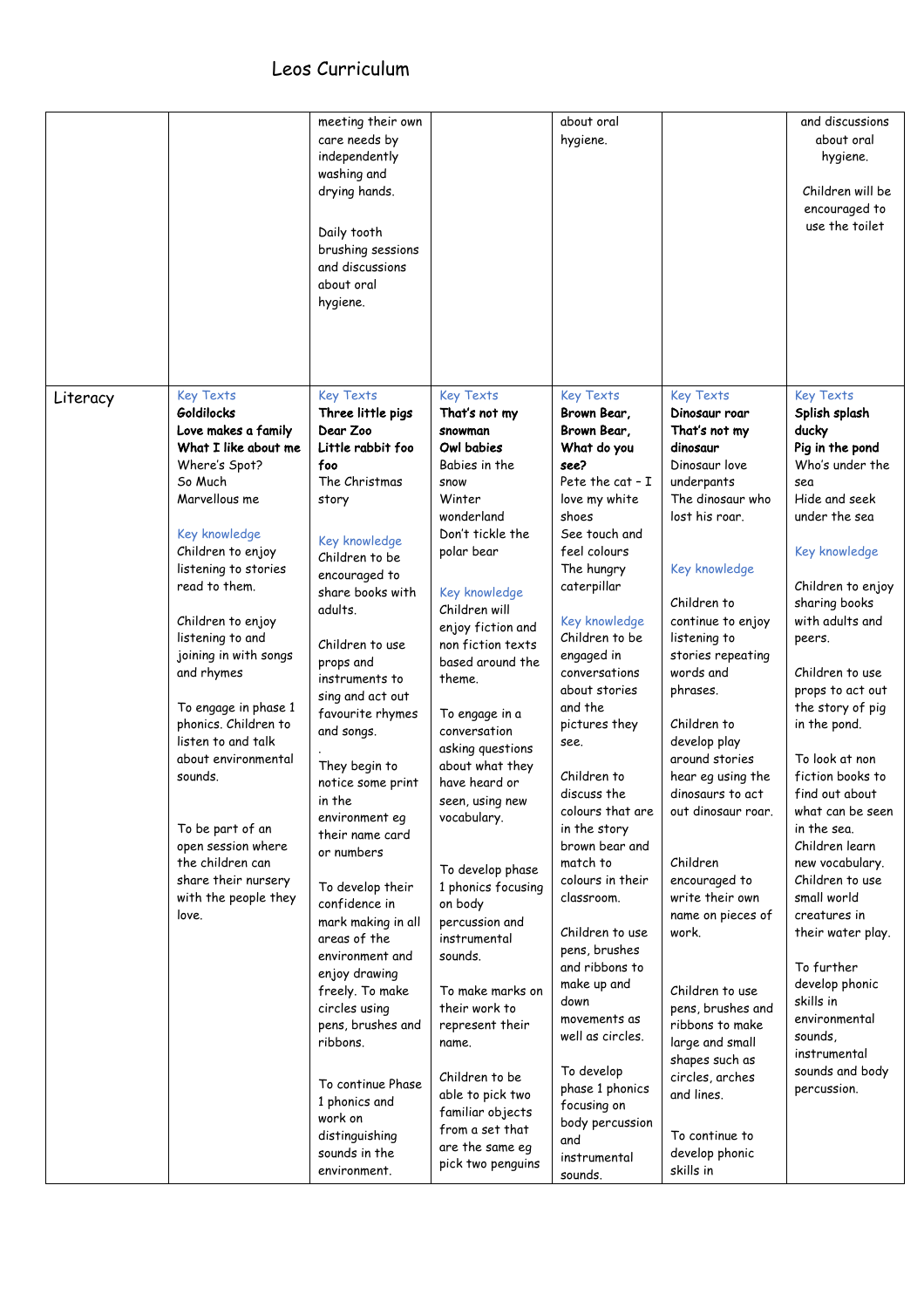|          |                                                                                                                                                                                                                                                                                                                                                                                                                                                                                                                         | meeting their own<br>care needs by<br>independently<br>washing and<br>drying hands.<br>Daily tooth<br>brushing sessions<br>and discussions<br>about oral<br>hygiene.                                                                                                                                                                                                                                                                                                                                                                                                                                                                                                                                 |                                                                                                                                                                                                                                                                                                                                                                                                                                                                                                                                                                                                                                                                             | about oral<br>hygiene.                                                                                                                                                                                                                                                                                                                                                                                                                                                                                                                                                                                                                                           |                                                                                                                                                                                                                                                                                                                                                                                                                                                                                                                                                                                                                                        | and discussions<br>about oral<br>hygiene.<br>Children will be<br>encouraged to<br>use the toilet                                                                                                                                                                                                                                                                                                                                                                                                                                                                                                                           |
|----------|-------------------------------------------------------------------------------------------------------------------------------------------------------------------------------------------------------------------------------------------------------------------------------------------------------------------------------------------------------------------------------------------------------------------------------------------------------------------------------------------------------------------------|------------------------------------------------------------------------------------------------------------------------------------------------------------------------------------------------------------------------------------------------------------------------------------------------------------------------------------------------------------------------------------------------------------------------------------------------------------------------------------------------------------------------------------------------------------------------------------------------------------------------------------------------------------------------------------------------------|-----------------------------------------------------------------------------------------------------------------------------------------------------------------------------------------------------------------------------------------------------------------------------------------------------------------------------------------------------------------------------------------------------------------------------------------------------------------------------------------------------------------------------------------------------------------------------------------------------------------------------------------------------------------------------|------------------------------------------------------------------------------------------------------------------------------------------------------------------------------------------------------------------------------------------------------------------------------------------------------------------------------------------------------------------------------------------------------------------------------------------------------------------------------------------------------------------------------------------------------------------------------------------------------------------------------------------------------------------|----------------------------------------------------------------------------------------------------------------------------------------------------------------------------------------------------------------------------------------------------------------------------------------------------------------------------------------------------------------------------------------------------------------------------------------------------------------------------------------------------------------------------------------------------------------------------------------------------------------------------------------|----------------------------------------------------------------------------------------------------------------------------------------------------------------------------------------------------------------------------------------------------------------------------------------------------------------------------------------------------------------------------------------------------------------------------------------------------------------------------------------------------------------------------------------------------------------------------------------------------------------------------|
| Literacy | <b>Key Texts</b><br>Goldilocks<br>Love makes a family<br>What I like about me<br>Where's Spot?<br>So Much<br>Marvellous me<br>Key knowledge<br>Children to enjoy<br>listening to stories<br>read to them.<br>Children to enjoy<br>listening to and<br>joining in with songs<br>and rhymes<br>To engage in phase 1<br>phonics. Children to<br>listen to and talk<br>about environmental<br>sounds.<br>To be part of an<br>open session where<br>the children can<br>share their nursery<br>with the people they<br>love. | <b>Key Texts</b><br>Three little pigs<br>Dear Zoo<br>Little rabbit foo<br>foo<br>The Christmas<br>story<br><b>Key knowledge</b><br>Children to be<br>encouraged to<br>share books with<br>adults.<br>Children to use<br>props and<br>instruments to<br>sing and act out<br>favourite rhymes<br>and songs.<br>They begin to<br>notice some print<br>in the<br>environment eg<br>their name card<br>or numbers<br>To develop their<br>confidence in<br>mark making in all<br>areas of the<br>environment and<br>enjoy drawing<br>freely. To make<br>circles using<br>pens, brushes and<br>ribbons.<br>To continue Phase<br>1 phonics and<br>work on<br>distinguishing<br>sounds in the<br>environment. | <b>Key Texts</b><br>That's not my<br>snowman<br>Owl babies<br>Babies in the<br>snow<br>Winter<br>wonderland<br>Don't tickle the<br>polar bear<br>Key knowledge<br>Children will<br>enjoy fiction and<br>non fiction texts<br>based around the<br>theme.<br>To engage in a<br>conversation<br>asking questions<br>about what they<br>have heard or<br>seen, using new<br>vocabulary.<br>To develop phase<br>1 phonics focusing<br>on body<br>percussion and<br>instrumental<br>sounds.<br>To make marks on<br>their work to<br>represent their<br>name.<br>Children to be<br>able to pick two<br>familiar objects<br>from a set that<br>are the same eg<br>pick two penguins | <b>Key Texts</b><br>Brown Bear,<br>Brown Bear,<br>What do you<br>see?<br>Pete the cat - I<br>love my white<br>shoes<br>See touch and<br>feel colours<br>The hungry<br>caterpillar<br>Key knowledge<br>Children to be<br>engaged in<br>conversations<br>about stories<br>and the<br>pictures they<br>see.<br>Children to<br>discuss the<br>colours that are<br>in the story<br>brown bear and<br>match to<br>colours in their<br>classroom.<br>Children to use<br>pens, brushes<br>and ribbons to<br>make up and<br>down<br>movements as<br>well as circles.<br>To develop<br>phase 1 phonics<br>focusing on<br>body percussion<br>and<br>instrumental<br>sounds. | <b>Key Texts</b><br>Dinosaur roar<br>That's not my<br>dinosaur<br>Dinosaur love<br>underpants<br>The dinosaur who<br>lost his roar.<br>Key knowledge<br>Children to<br>continue to enjoy<br>listening to<br>stories repeating<br>words and<br>phrases.<br>Children to<br>develop play<br>around stories<br>hear eg using the<br>dinosaurs to act<br>out dinosaur roar.<br>Children<br>encouraged to<br>write their own<br>name on pieces of<br>work.<br>Children to use<br>pens, brushes and<br>ribbons to make<br>large and small<br>shapes such as<br>circles, arches<br>and lines.<br>To continue to<br>develop phonic<br>skills in | <b>Key Texts</b><br>Splish splash<br>ducky<br>Pig in the pond<br>Who's under the<br>sea<br>Hide and seek<br>under the sea<br>Key knowledge<br>Children to enjoy<br>sharing books<br>with adults and<br>peers.<br>Children to use<br>props to act out<br>the story of pig<br>in the pond.<br>To look at non<br>fiction books to<br>find out about<br>what can be seen<br>in the sea.<br>Children learn<br>new vocabulary.<br>Children to use<br>small world<br>creatures in<br>their water play.<br>To further<br>develop phonic<br>skills in<br>environmental<br>sounds,<br>instrumental<br>sounds and body<br>percussion. |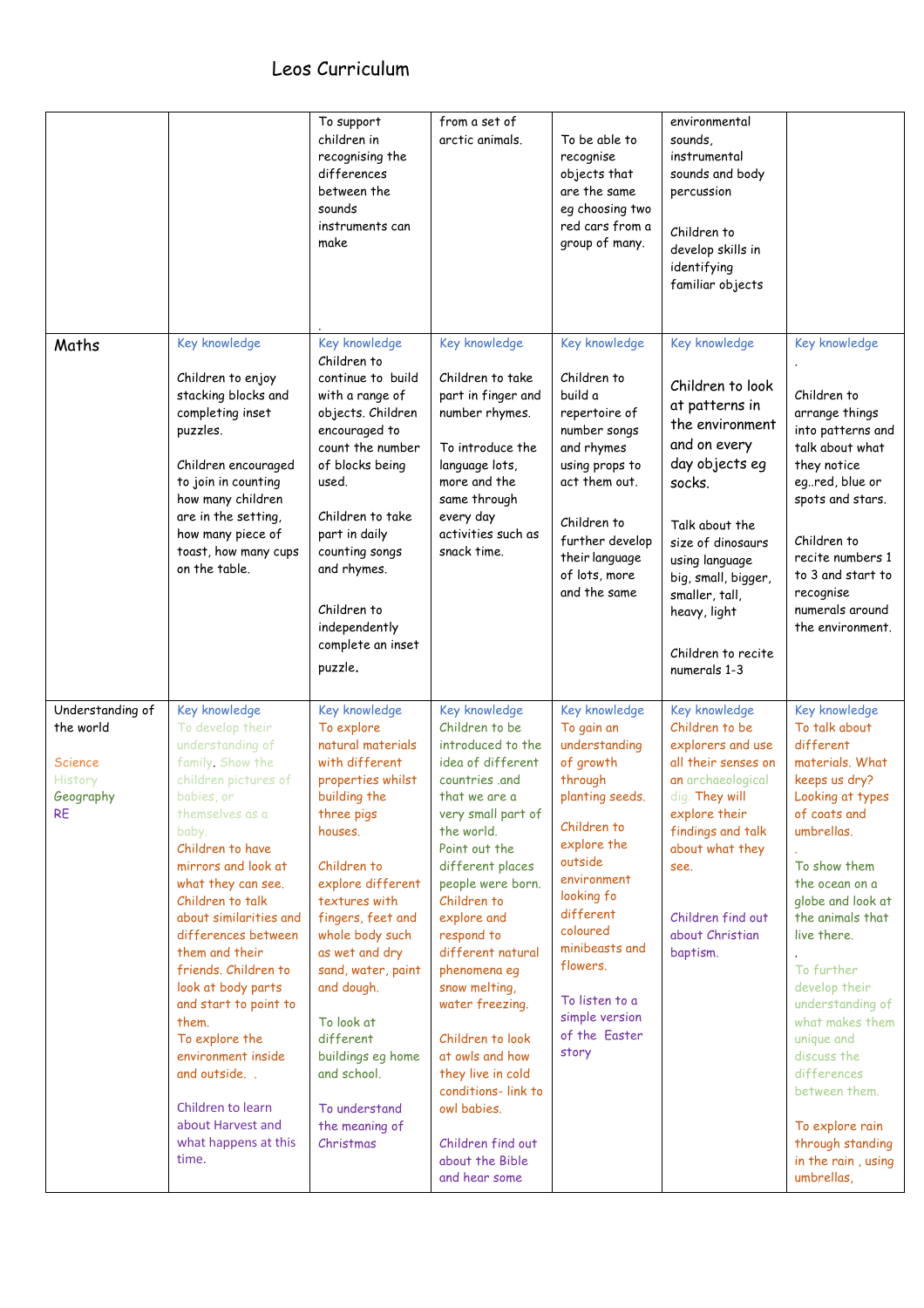|                                                                                      |                                                                                                                                                                                                                                                                                                                                                                                                                                                                                                                      | To support<br>children in<br>recognising the<br>differences<br>between the<br>sounds<br>instruments can<br>make                                                                                                                                                                                                                                                                                    | from a set of<br>arctic animals.                                                                                                                                                                                                                                                                                                                                                                                                                                                          | To be able to<br>recognise<br>objects that<br>are the same<br>eg choosing two<br>red cars from a<br>group of many.                                                                                                                                                                 | environmental<br>sounds.<br>instrumental<br>sounds and body<br>percussion<br>Children to<br>develop skills in<br>identifying<br>familiar objects                                                                                                                           |                                                                                                                                                                                                                                                                                                                                                                                                                                           |
|--------------------------------------------------------------------------------------|----------------------------------------------------------------------------------------------------------------------------------------------------------------------------------------------------------------------------------------------------------------------------------------------------------------------------------------------------------------------------------------------------------------------------------------------------------------------------------------------------------------------|----------------------------------------------------------------------------------------------------------------------------------------------------------------------------------------------------------------------------------------------------------------------------------------------------------------------------------------------------------------------------------------------------|-------------------------------------------------------------------------------------------------------------------------------------------------------------------------------------------------------------------------------------------------------------------------------------------------------------------------------------------------------------------------------------------------------------------------------------------------------------------------------------------|------------------------------------------------------------------------------------------------------------------------------------------------------------------------------------------------------------------------------------------------------------------------------------|----------------------------------------------------------------------------------------------------------------------------------------------------------------------------------------------------------------------------------------------------------------------------|-------------------------------------------------------------------------------------------------------------------------------------------------------------------------------------------------------------------------------------------------------------------------------------------------------------------------------------------------------------------------------------------------------------------------------------------|
| Maths                                                                                | Key knowledge<br>Children to enjoy<br>stacking blocks and<br>completing inset<br>puzzles.<br>Children encouraged<br>to join in counting<br>how many children<br>are in the setting,<br>how many piece of<br>toast, how many cups<br>on the table.                                                                                                                                                                                                                                                                    | Key knowledge<br>Children to<br>continue to build<br>with a range of<br>objects. Children<br>encouraged to<br>count the number<br>of blocks being<br>used.<br>Children to take<br>part in daily<br>counting songs<br>and rhymes.<br>Children to<br>independently<br>complete an inset<br>puzzle.                                                                                                   | Key knowledge<br>Children to take<br>part in finger and<br>number rhymes.<br>To introduce the<br>language lots,<br>more and the<br>same through<br>every day<br>activities such as<br>snack time.                                                                                                                                                                                                                                                                                         | Key knowledge<br>Children to<br>build a<br>repertoire of<br>number songs<br>and rhymes<br>using props to<br>act them out.<br>Children to<br>further develop<br>their language<br>of lots, more<br>and the same                                                                     | Key knowledge<br>Children to look<br>at patterns in<br>the environment<br>and on every<br>day objects eg<br>socks.<br>Talk about the<br>size of dinosaurs<br>using language<br>big, small, bigger,<br>smaller, tall,<br>heavy, light<br>Children to recite<br>numerals 1-3 | Key knowledge<br>Children to<br>arrange things<br>into patterns and<br>talk about what<br>they notice<br>egred, blue or<br>spots and stars.<br>Children to<br>recite numbers 1<br>to 3 and start to<br>recognise<br>numerals around<br>the environment.                                                                                                                                                                                   |
| Understanding of<br>the world<br>Science<br><b>History</b><br>Geography<br><b>RE</b> | Key knowledge<br>To develop their<br>understanding of<br>family Show the<br>children pictures of<br>babies, or<br>themselves as a<br>baby.<br>Children to have<br>mirrors and look at<br>what they can see.<br>Children to talk<br>about similarities and<br>differences between<br>them and their<br>friends. Children to<br>look at body parts<br>and start to point to<br>them.<br>To explore the<br>environment inside<br>and outside<br>Children to learn<br>about Harvest and<br>what happens at this<br>time. | Key knowledge<br>To explore<br>natural materials<br>with different<br>properties whilst<br>building the<br>three pigs<br>houses.<br>Children to<br>explore different<br>textures with<br>fingers, feet and<br>whole body such<br>as wet and dry<br>sand, water, paint<br>and dough.<br>To look at<br>different<br>buildings eg home<br>and school.<br>To understand<br>the meaning of<br>Christmas | Key knowledge<br>Children to be<br>introduced to the<br>idea of different<br>countries .and<br>that we are a<br>very small part of<br>the world.<br>Point out the<br>different places<br>people were born.<br>Children to<br>explore and<br>respond to<br>different natural<br>phenomena eg<br>snow melting,<br>water freezing.<br>Children to look<br>at owls and how<br>they live in cold<br>conditions-link to<br>owl babies.<br>Children find out<br>about the Bible<br>and hear some | Key knowledge<br>To gain an<br>understanding<br>of growth<br>through<br>planting seeds.<br>Children to<br>explore the<br>outside<br>environment<br>looking fo<br>different<br>coloured<br>minibeasts and<br>flowers.<br>To listen to a<br>simple version<br>of the Easter<br>story | Key knowledge<br>Children to be<br>explorers and use<br>all their senses on<br>an archaeological<br>dig. They will<br>explore their<br>findings and talk<br>about what they<br>see.<br>Children find out<br>about Christian<br>baptism.                                    | Key knowledge<br>To talk about<br>different<br>materials. What<br>keeps us dry?<br>Looking at types<br>of coats and<br>umbrellas.<br>To show them<br>the ocean on a<br>globe and look at<br>the animals that<br>live there.<br>To further<br>develop their<br>understanding of<br>what makes them<br>unique and<br>discuss the<br>differences<br>between them.<br>To explore rain<br>through standing<br>in the rain, using<br>umbrellas, |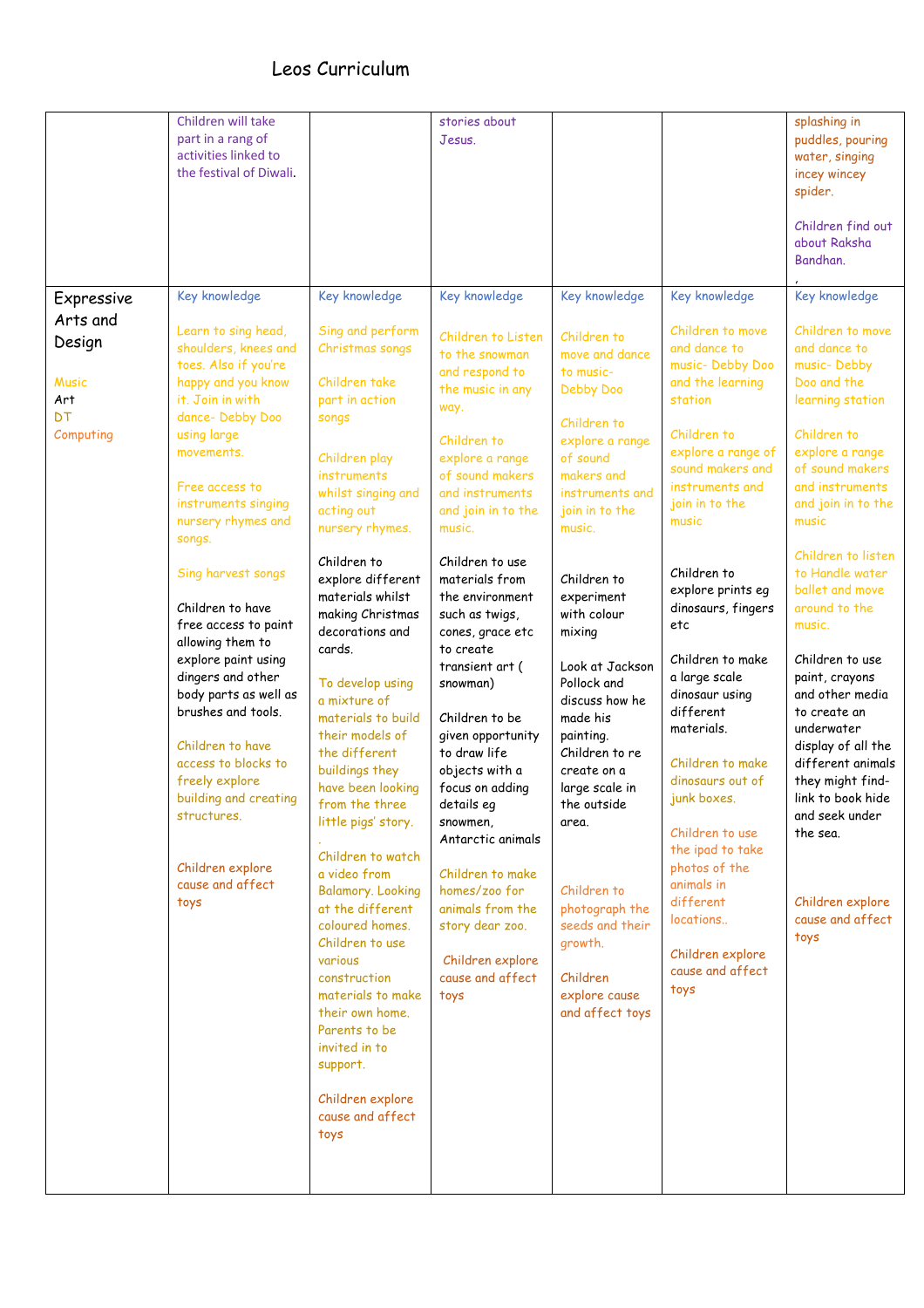|                                                                                   | Children will take<br>part in a rang of<br>activities linked to<br>the festival of Diwali.                                                                                                                                                                                                                                                                                                                                                                                                                                                                                                    |                                                                                                                                                                                                                                                                                                                                                                                                                                                                                                                                                                                                                                                                                                                                                                            | stories about<br>Jesus.                                                                                                                                                                                                                                                                                                                                                                                                                                                                                                                                                                                                      |                                                                                                                                                                                                                                                                                                                                                                                                                                                                                                                  |                                                                                                                                                                                                                                                                                                                                                                                                                                                                                                                                                                       | splashing in<br>puddles, pouring<br>water, singing<br>incey wincey<br>spider.<br>Children find out<br>about Raksha<br>Bandhan.                                                                                                                                                                                                                                                                                                                                                                                                                            |
|-----------------------------------------------------------------------------------|-----------------------------------------------------------------------------------------------------------------------------------------------------------------------------------------------------------------------------------------------------------------------------------------------------------------------------------------------------------------------------------------------------------------------------------------------------------------------------------------------------------------------------------------------------------------------------------------------|----------------------------------------------------------------------------------------------------------------------------------------------------------------------------------------------------------------------------------------------------------------------------------------------------------------------------------------------------------------------------------------------------------------------------------------------------------------------------------------------------------------------------------------------------------------------------------------------------------------------------------------------------------------------------------------------------------------------------------------------------------------------------|------------------------------------------------------------------------------------------------------------------------------------------------------------------------------------------------------------------------------------------------------------------------------------------------------------------------------------------------------------------------------------------------------------------------------------------------------------------------------------------------------------------------------------------------------------------------------------------------------------------------------|------------------------------------------------------------------------------------------------------------------------------------------------------------------------------------------------------------------------------------------------------------------------------------------------------------------------------------------------------------------------------------------------------------------------------------------------------------------------------------------------------------------|-----------------------------------------------------------------------------------------------------------------------------------------------------------------------------------------------------------------------------------------------------------------------------------------------------------------------------------------------------------------------------------------------------------------------------------------------------------------------------------------------------------------------------------------------------------------------|-----------------------------------------------------------------------------------------------------------------------------------------------------------------------------------------------------------------------------------------------------------------------------------------------------------------------------------------------------------------------------------------------------------------------------------------------------------------------------------------------------------------------------------------------------------|
| Expressive<br>Arts and<br>Design<br><b>Music</b><br>Art<br><b>DT</b><br>Computing | Key knowledge<br>Learn to sing head,<br>shoulders, knees and<br>toes. Also if you're<br>happy and you know<br>it. Join in with<br>dance-Debby Doo<br>using large<br>movements.<br>Free access to<br>instruments singing<br>nursery rhymes and<br>songs.<br>Sing harvest songs<br>Children to have<br>free access to paint<br>allowing them to<br>explore paint using<br>dingers and other<br>body parts as well as<br>brushes and tools.<br>Children to have<br>access to blocks to<br>freely explore<br>building and creating<br>structures.<br>Children explore<br>cause and affect<br>toys | Key knowledge<br>Sing and perform<br>Christmas songs<br>Children take<br>part in action<br>songs<br>Children play<br>instruments<br>whilst singing and<br>acting out<br>nursery rhymes.<br>Children to<br>explore different<br>materials whilst<br>making Christmas<br>decorations and<br>cards.<br>To develop using<br>a mixture of<br>materials to build<br>their models of<br>the different<br>buildings they<br>have been looking<br>from the three<br>little pigs' story.<br>Children to watch<br>a video from<br><b>Balamory. Looking</b><br>at the different<br>coloured homes.<br>Children to use<br>various<br>construction<br>materials to make<br>their own home.<br>Parents to be<br>invited in to<br>support.<br>Children explore<br>cause and affect<br>toys | Key knowledge<br>Children to Listen<br>to the snowman<br>and respond to<br>the music in any<br>way.<br>Children to<br>explore a range<br>of sound makers<br>and instruments<br>and join in to the<br>music.<br>Children to use<br>materials from<br>the environment<br>such as twigs,<br>cones, grace etc<br>to create<br>transient art (<br>snowman)<br>Children to be<br>given opportunity<br>to draw life<br>objects with a<br>focus on adding<br>details eg<br>snowmen,<br>Antarctic animals<br>Children to make<br>homes/zoo for<br>animals from the<br>story dear zoo.<br>Children explore<br>cause and affect<br>toys | Key knowledge<br>Children to<br>move and dance<br>to music-<br>Debby Doo<br>Children to<br>explore a range<br>of sound<br>makers and<br>instruments and<br>join in to the<br>music.<br>Children to<br>experiment<br>with colour<br>mixing<br>Look at Jackson<br>Pollock and<br>discuss how he<br>made his<br>painting.<br>Children to re<br>create on a<br>large scale in<br>the outside<br>area.<br>Children to<br>photograph the<br>seeds and their<br>growth.<br>Children<br>explore cause<br>and affect toys | Key knowledge<br>Children to move<br>and dance to<br>music- Debby Doo<br>and the learning<br>station<br>Children to<br>explore a range of<br>sound makers and<br>instruments and<br>join in to the<br>music<br>Children to<br>explore prints eg<br>dinosaurs, fingers<br>etc<br>Children to make<br>a large scale<br>dinosaur using<br>different<br>materials.<br>Children to make<br>dinosaurs out of<br>junk boxes.<br>Children to use<br>the ipad to take<br>photos of the<br>animals in<br>different<br>locations<br>Children explore<br>cause and affect<br>toys | Key knowledge<br>Children to move<br>and dance to<br>music-Debby<br>Doo and the<br>learning station<br>Children to<br>explore a range<br>of sound makers<br>and instruments<br>and join in to the<br>music<br>Children to listen<br>to Handle water<br>ballet and move<br>around to the<br>music.<br>Children to use<br>paint, crayons<br>and other media<br>to create an<br>underwater<br>display of all the<br>different animals<br>they might find-<br>link to book hide<br>and seek under<br>the sea.<br>Children explore<br>cause and affect<br>toys |